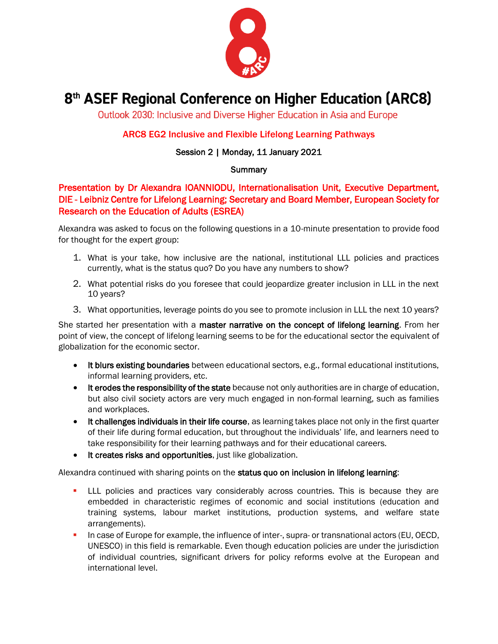

# 8<sup>th</sup> ASEF Regional Conference on Higher Education (ARC8)

Outlook 2030: Inclusive and Diverse Higher Education in Asia and Europe

### ARC8 EG2 Inclusive and Flexible Lifelong Learning Pathways

### Session 2 | Monday, 11 January 2021

#### **Summary**

## Presentation by Dr Alexandra IOANNIODU, Internationalisation Unit, Executive Department, DIE - Leibniz Centre for Lifelong Learning; Secretary and Board Member, European Society for Research on the Education of Adults (ESREA)

Alexandra was asked to focus on the following questions in a 10-minute presentation to provide food for thought for the expert group:

- 1. What is your take, how inclusive are the national, institutional LLL policies and practices currently, what is the status quo? Do you have any numbers to show?
- 2. What potential risks do you foresee that could jeopardize greater inclusion in LLL in the next 10 years?
- 3. What opportunities, leverage points do you see to promote inclusion in LLL the next 10 years?

She started her presentation with a master narrative on the concept of lifelong learning. From her point of view, the concept of lifelong learning seems to be for the educational sector the equivalent of globalization for the economic sector.

- It blurs existing boundaries between educational sectors, e.g., formal educational institutions, informal learning providers, etc.
- It erodes the responsibility of the state because not only authorities are in charge of education, but also civil society actors are very much engaged in non-formal learning, such as families and workplaces.
- It challenges individuals in their life course, as learning takes place not only in the first quarter of their life during formal education, but throughout the individuals' life, and learners need to take responsibility for their learning pathways and for their educational careers.
- It creates risks and opportunities, just like globalization.

Alexandra continued with sharing points on the status quo on inclusion in lifelong learning:

- **EXECUTE:** LLL policies and practices vary considerably across countries. This is because they are embedded in characteristic regimes of economic and social institutions (education and training systems, labour market institutions, production systems, and welfare state arrangements).
- In case of Europe for example, the influence of inter-, supra- or transnational actors (EU, OECD, UNESCO) in this field is remarkable. Even though education policies are under the jurisdiction of individual countries, significant drivers for policy reforms evolve at the European and international level.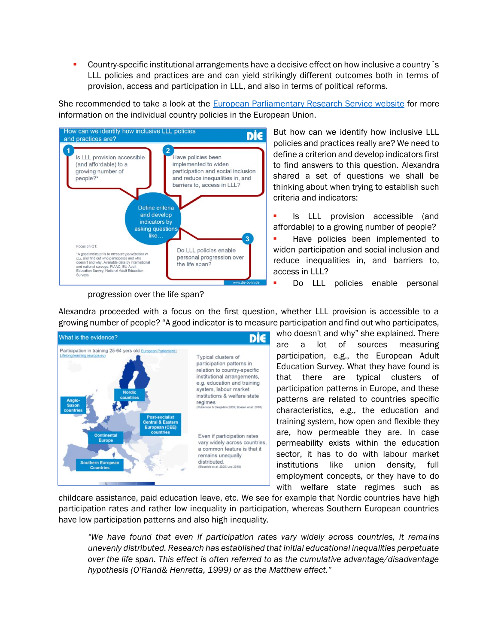Country-specific institutional arrangements have a decisive effect on how inclusive a country's LLL policies and practices are and can yield strikingly different outcomes both in terms of provision, access and participation in LLL, and also in terms of political reforms.

She recommended to take a look at the [European Parliamentary Research Service website](https://www.europarl.europa.eu/thinktank/infographics/lifelonglearning/adult) for more information on the individual country policies in the European Union.



progression over the life span?

But how can we identify how inclusive LLL policies and practices really are? We need to define a criterion and develop indicators first to find answers to this question. Alexandra shared a set of questions we shall be thinking about when trying to establish such criteria and indicators:

- **E** Is LLL provision accessible (and affordable) to a growing number of people?
- Have policies been implemented to widen participation and social inclusion and reduce inequalities in, and barriers to, access in LLL?
- Do LLL policies enable personal

Alexandra proceeded with a focus on the first question, whether LLL provision is accessible to a growing number of people? "A good indicator is to measure participation and find out who participates,



who doesn't and why" she explained. There are a lot of sources measuring participation, e.g., the European Adult Education Survey. What they have found is that there are typical clusters of participation patterns in Europe, and these patterns are related to countries specific characteristics, e.g., the education and training system, how open and flexible they are, how permeable they are. In case permeability exists within the education sector, it has to do with labour market institutions like union density, full employment concepts, or they have to do with welfare state regimes such as

childcare assistance, paid education leave, etc. We see for example that Nordic countries have high participation rates and rather low inequality in participation, whereas Southern European countries have low participation patterns and also high inequality.

*"We have found that even if participation rates vary widely across countries, it remains unevenly distributed. Research has established that initial educational inequalities perpetuate over the life span. This effect is often referred to as the cumulative advantage/disadvantage hypothesis (O'Rand& Henretta, 1999) or as the Matthew effect."*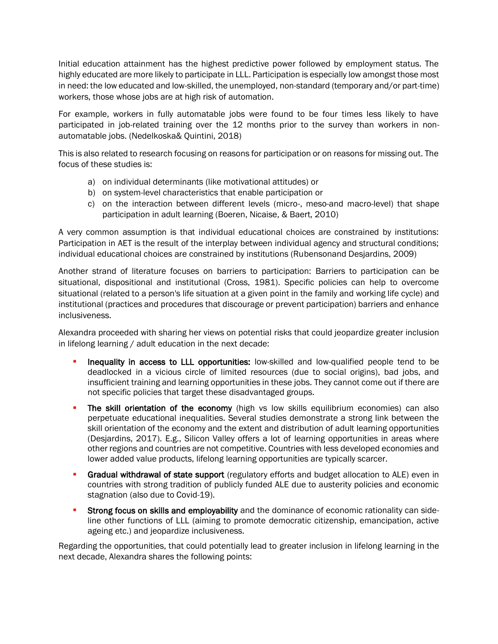Initial education attainment has the highest predictive power followed by employment status. The highly educated are more likely to participate in LLL. Participation is especially low amongst those most in need: the low educated and low-skilled, the unemployed, non-standard (temporary and/or part-time) workers, those whose jobs are at high risk of automation.

For example, workers in fully automatable jobs were found to be four times less likely to have participated in job-related training over the 12 months prior to the survey than workers in nonautomatable jobs. (Nedelkoska& Quintini, 2018)

This is also related to research focusing on reasons for participation or on reasons for missing out. The focus of these studies is:

- a) on individual determinants (like motivational attitudes) or
- b) on system-level characteristics that enable participation or
- c) on the interaction between different levels (micro-, meso-and macro-level) that shape participation in adult learning (Boeren, Nicaise, & Baert, 2010)

A very common assumption is that individual educational choices are constrained by institutions: Participation in AET is the result of the interplay between individual agency and structural conditions; individual educational choices are constrained by institutions (Rubensonand Desjardins, 2009)

Another strand of literature focuses on barriers to participation: Barriers to participation can be situational, dispositional and institutional (Cross, 1981). Specific policies can help to overcome situational (related to a person's life situation at a given point in the family and working life cycle) and institutional (practices and procedures that discourage or prevent participation) barriers and enhance inclusiveness.

Alexandra proceeded with sharing her views on potential risks that could jeopardize greater inclusion in lifelong learning / adult education in the next decade:

- Inequality in access to LLL opportunities: low-skilled and low-qualified people tend to be deadlocked in a vicious circle of limited resources (due to social origins), bad jobs, and insufficient training and learning opportunities in these jobs. They cannot come out if there are not specific policies that target these disadvantaged groups.
- The skill orientation of the economy (high vs low skills equilibrium economies) can also perpetuate educational inequalities. Several studies demonstrate a strong link between the skill orientation of the economy and the extent and distribution of adult learning opportunities (Desjardins, 2017). E.g., Silicon Valley offers a lot of learning opportunities in areas where other regions and countries are not competitive. Countries with less developed economies and lower added value products, lifelong learning opportunities are typically scarcer.
- **Gradual withdrawal of state support** (regulatory efforts and budget allocation to ALE) even in countries with strong tradition of publicly funded ALE due to austerity policies and economic stagnation (also due to Covid-19).
- **EXECT** Strong focus on skills and employability and the dominance of economic rationality can sideline other functions of LLL (aiming to promote democratic citizenship, emancipation, active ageing etc.) and jeopardize inclusiveness.

Regarding the opportunities, that could potentially lead to greater inclusion in lifelong learning in the next decade, Alexandra shares the following points: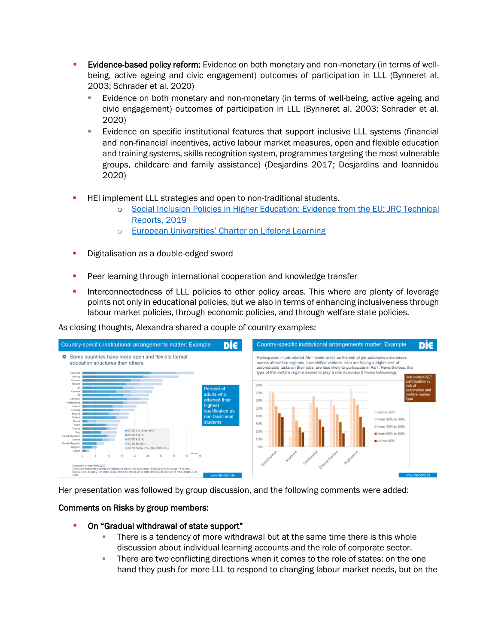- Evidence-based policy reform: Evidence on both monetary and non-monetary (in terms of wellbeing, active ageing and civic engagement) outcomes of participation in LLL (Bynneret al. 2003; Schrader et al. 2020)
	- **Examble 1** Evidence on both monetary and non-monetary (in terms of well-being, active ageing and civic engagement) outcomes of participation in LLL (Bynneret al. 2003; Schrader et al. 2020)
	- **Example 1** Evidence on specific institutional features that support inclusive LLL systems (financial and non-financial incentives, active labour market measures, open and flexible education and training systems, skills recognition system, programmes targeting the most vulnerable groups, childcare and family assistance) (Desjardins 2017; Desjardins and Ioannidou 2020)
- **E** HEI implement LLL strategies and open to non-traditional students.
	- o Social Inclusion Policies in Higher [Education: Evidence from the EU; JRC Technical](https://publications.jrc.ec.europa.eu/repository/bitstream/JRC117257/jrc_117257_social_inclusion_policies_in_higher_education_evidence_from_the_eu.pdf)  [Reports, 2019](https://publications.jrc.ec.europa.eu/repository/bitstream/JRC117257/jrc_117257_social_inclusion_policies_in_higher_education_evidence_from_the_eu.pdf)
	- o European Universities' [Charter on Lifelong Learning](https://eua.eu/downloads/publications/european%20universities%20charter%20on%20lifelong%20learning%202008.pdf)
- **Digitalisation as a double-edged sword**
- **•** Peer learning through international cooperation and knowledge transfer
- **•** Interconnectedness of LLL policies to other policy areas. This where are plenty of leverage points not only in educational policies, but we also in terms of enhancing inclusiveness through labour market policies, through economic policies, and through welfare state policies.

As closing thoughts, Alexandra shared a couple of country examples:



Her presentation was followed by group discussion, and the following comments were added:

#### Comments on Risks by group members:

- On "Gradual withdrawal of state support"
	- There is a tendency of more withdrawal but at the same time there is this whole discussion about individual learning accounts and the role of corporate sector.
	- **There are two conflicting directions when it comes to the role of states: on the one** hand they push for more LLL to respond to changing labour market needs, but on the